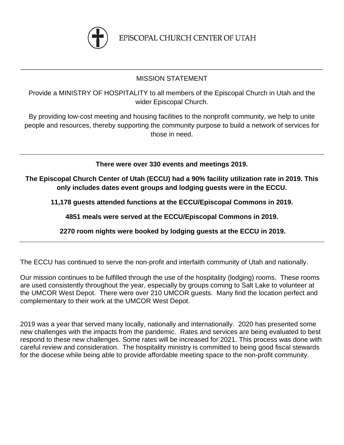

EPISCOPAL CHURCH CENTER OF UTAH

## MISSION STATEMENT

\_\_\_\_\_\_\_\_\_\_\_\_\_\_\_\_\_\_\_\_\_\_\_\_\_\_\_\_\_\_\_\_\_\_\_\_\_\_\_\_\_\_\_\_\_\_\_\_\_\_\_\_\_\_\_\_\_\_\_\_\_\_\_\_\_\_\_\_\_\_\_\_\_\_\_\_\_\_\_\_\_\_\_\_\_\_\_\_

Provide a MINISTRY OF HOSPITALITY to all members of the Episcopal Church in Utah and the wider Episcopal Church.

By providing low-cost meeting and housing facilities to the nonprofit community, we help to unite people and resources, thereby supporting the community purpose to build a network of services for those in need.

**There were over 330 events and meetings 2019.**

**The Episcopal Church Center of Utah (ECCU) had a 90% facility utilization rate in 2019. This only includes dates event groups and lodging guests were in the ECCU.**

**11,178 guests attended functions at the ECCU/Episcopal Commons in 2019.**

**4851 meals were served at the ECCU/Episcopal Commons in 2019.**

**2270 room nights were booked by lodging guests at the ECCU in 2019.**

The ECCU has continued to serve the non-profit and interfaith community of Utah and nationally.

Our mission continues to be fulfilled through the use of the hospitality (lodging) rooms. These rooms are used consistently throughout the year, especially by groups coming to Salt Lake to volunteer at the UMCOR West Depot. There were over 210 UMCOR guests. Many find the location perfect and complementary to their work at the UMCOR West Depot.

2019 was a year that served many locally, nationally and internationally. 2020 has presented some new challenges with the impacts from the pandemic. Rates and services are being evaluated to best respond to these new challenges. Some rates will be increased for 2021. This process was done with careful review and consideration. The hospitality ministry is committed to being good fiscal stewards for the diocese while being able to provide affordable meeting space to the non-profit community.